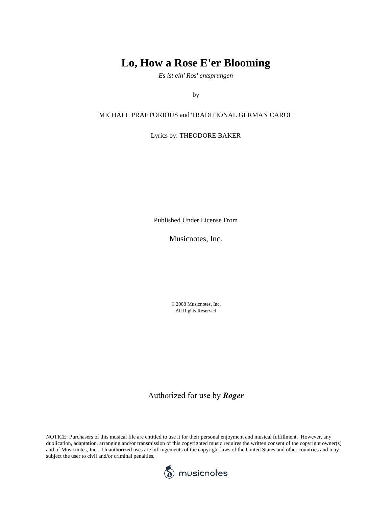## **Lo, How a Rose E'er Blooming**

*Es ist ein' Ros' entsprungen*

by

### MICHAEL PRAETORIOUS and TRADITIONAL GERMAN CAROL

Lyrics by: THEODORE BAKER

Published Under License From

Musicnotes, Inc.

© 2008 Musicnotes, Inc. All Rights Reserved

Authorized for use by *Roger*

NOTICE: Purchasers of this musical file are entitled to use it for their personal enjoyment and musical fulfillment. However, any duplication, adaptation, arranging and/or transmission of this copyrighted music requires the written consent of the copyright owner(s) and of Musicnotes, Inc.. Unauthorized uses are infringements of the copyright laws of the United States and other countries and may subject the user to civil and/or criminal penalties.

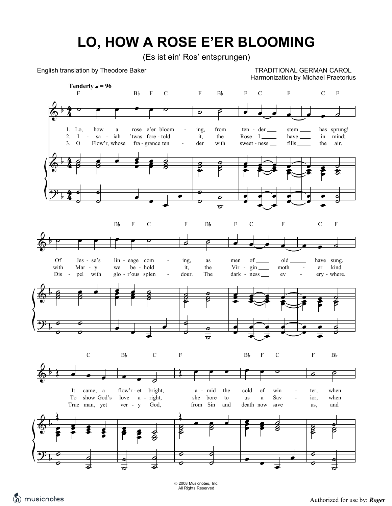# LO, HOW A ROSE E'ER BLOOMING

(Es ist ein' Ros' entsprungen)

English translation by Theodore Baker

TRADITIONAL GERMAN CAROL Harmonization by Michael Praetorius



All Rights Reserved